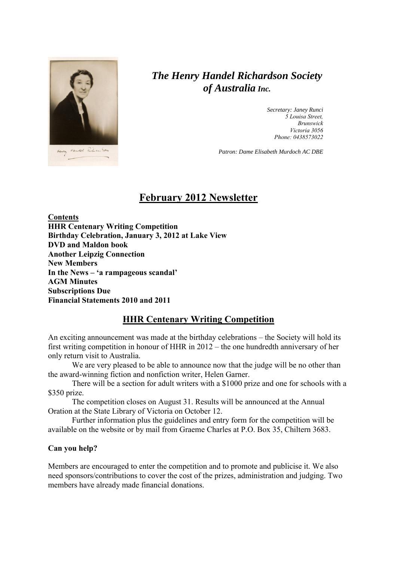

# *The Henry Handel Richardson Society of Australia Inc.*

*Secretary: Janey Runci 5 Louisa Street, Brunswick Victoria 3056 Phone: 0438573022*

*Patron: Dame Elisabeth Murdoch AC DBE*

## **February 2012 Newsletter**

**Contents HHR Centenary Writing Competition Birthday Celebration, January 3, 2012 at Lake View DVD and Maldon book Another Leipzig Connection New Members In the News – 'a rampageous scandal' AGM Minutes Subscriptions Due Financial Statements 2010 and 2011**

#### **HHR Centenary Writing Competition**

An exciting announcement was made at the birthday celebrations – the Society will hold its first writing competition in honour of HHR in 2012 – the one hundredth anniversary of her only return visit to Australia.

We are very pleased to be able to announce now that the judge will be no other than the award-winning fiction and nonfiction writer, Helen Garner.

There will be a section for adult writers with a \$1000 prize and one for schools with a \$350 prize.

The competition closes on August 31. Results will be announced at the Annual Oration at the State Library of Victoria on October 12.

Further information plus the guidelines and entry form for the competition will be available on the website or by mail from Graeme Charles at P.O. Box 35, Chiltern 3683.

#### **Can you help?**

Members are encouraged to enter the competition and to promote and publicise it. We also need sponsors/contributions to cover the cost of the prizes, administration and judging. Two members have already made financial donations.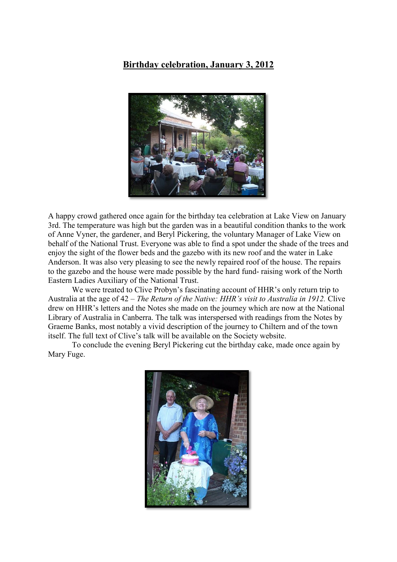### **Birthday celebration, January 3, 2012**



A happy crowd gathered once again for the birthday tea celebration at Lake View on January 3rd. The temperature was high but the garden was in a beautiful condition thanks to the work of Anne Vyner, the gardener, and Beryl Pickering, the voluntary Manager of Lake View on behalf of the National Trust. Everyone was able to find a spot under the shade of the trees and enjoy the sight of the flower beds and the gazebo with its new roof and the water in Lake Anderson. It was also very pleasing to see the newly repaired roof of the house. The repairs to the gazebo and the house were made possible by the hard fund- raising work of the North Eastern Ladies Auxiliary of the National Trust.

We were treated to Clive Probyn's fascinating account of HHR's only return trip to Australia at the age of 42 – *The Return of the Native: HHR's visit to Australia in 1912.* Clive drew on HHR's letters and the Notes she made on the journey which are now at the National Library of Australia in Canberra. The talk was interspersed with readings from the Notes by Graeme Banks, most notably a vivid description of the journey to Chiltern and of the town itself. The full text of Clive's talk will be available on the Society website.

To conclude the evening Beryl Pickering cut the birthday cake, made once again by Mary Fuge.

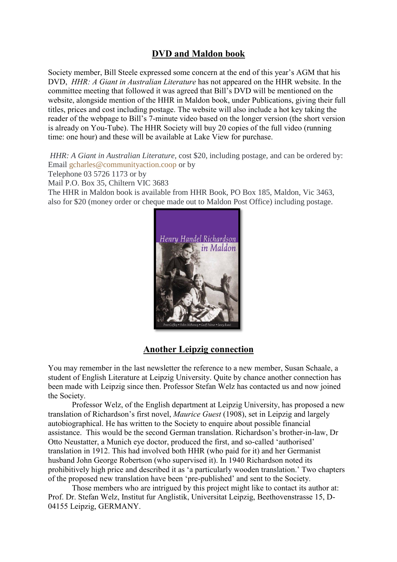## **DVD and Maldon book**

Society member, Bill Steele expressed some concern at the end of this year's AGM that his DVD, *HHR: A Giant in Australian Literature* has not appeared on the HHR website. In the committee meeting that followed it was agreed that Bill's DVD will be mentioned on the website, alongside mention of the HHR in Maldon book, under Publications, giving their full titles, prices and cost including postage. The website will also include a hot key taking the reader of the webpage to Bill's 7-minute video based on the longer version (the short version is already on You-Tube). The HHR Society will buy 20 copies of the full video (running time: one hour) and these will be available at Lake View for purchase.

*HHR: A Giant in Australian Literature,* cost \$20, including postage, and can be ordered by: Email [gcharles@communityaction.coop](mailto:gcharles@communityaction.coop) or by

Telephone 03 5726 1173 or by

Mail P.O. Box 35, Chiltern VIC 3683

The HHR in Maldon book is available from HHR Book, PO Box 185, Maldon, Vic 3463, also for \$20 (money order or cheque made out to Maldon Post Office) including postage.



#### **Another Leipzig connection**

You may remember in the last newsletter the reference to a new member, Susan Schaale, a student of English Literature at Leipzig University. Quite by chance another connection has been made with Leipzig since then. Professor Stefan Welz has contacted us and now joined the Society.

Professor Welz, of the English department at Leipzig University, has proposed a new translation of Richardson's first novel, *Maurice Guest* (1908), set in Leipzig and largely autobiographical. He has written to the Society to enquire about possible financial assistance. This would be the second German translation. Richardson's brother-in-law, Dr Otto Neustatter, a Munich eye doctor, produced the first, and so-called 'authorised' translation in 1912. This had involved both HHR (who paid for it) and her Germanist husband John George Robertson (who supervised it). In 1940 Richardson noted its prohibitively high price and described it as 'a particularly wooden translation.' Two chapters of the proposed new translation have been 'pre-published' and sent to the Society.

Those members who are intrigued by this project might like to contact its author at: Prof. Dr. Stefan Welz, Institut fur Anglistik, Universitat Leipzig, Beethovenstrasse 15, D-04155 Leipzig, GERMANY.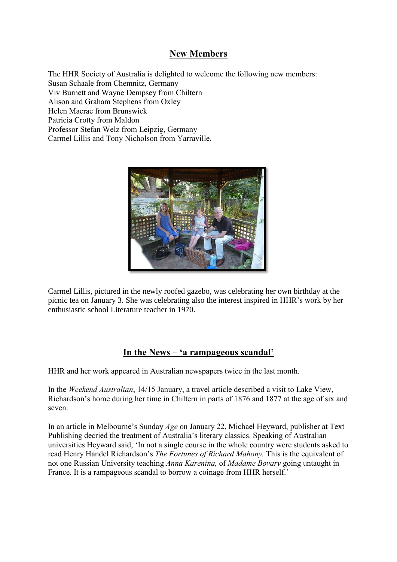### **New Members**

The HHR Society of Australia is delighted to welcome the following new members: Susan Schaale from Chemnitz, Germany Viv Burnett and Wayne Dempsey from Chiltern Alison and Graham Stephens from Oxley Helen Macrae from Brunswick Patricia Crotty from Maldon Professor Stefan Welz from Leipzig, Germany Carmel Lillis and Tony Nicholson from Yarraville.



Carmel Lillis, pictured in the newly roofed gazebo, was celebrating her own birthday at the picnic tea on January 3. She was celebrating also the interest inspired in HHR's work by her enthusiastic school Literature teacher in 1970.

#### **In the News – 'a rampageous scandal'**

HHR and her work appeared in Australian newspapers twice in the last month.

In the *Weekend Australian*, 14/15 January, a travel article described a visit to Lake View, Richardson's home during her time in Chiltern in parts of 1876 and 1877 at the age of six and seven.

In an article in Melbourne's Sunday *Age* on January 22, Michael Heyward, publisher at Text Publishing decried the treatment of Australia's literary classics. Speaking of Australian universities Heyward said, 'In not a single course in the whole country were students asked to read Henry Handel Richardson's *The Fortunes of Richard Mahony.* This is the equivalent of not one Russian University teaching *Anna Karenina,* of *Madame Bovary* going untaught in France. It is a rampageous scandal to borrow a coinage from HHR herself.'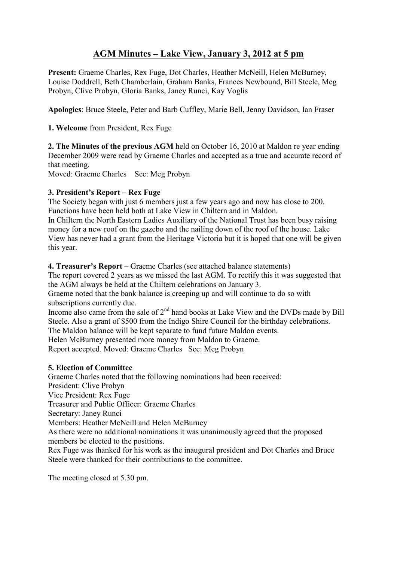## **AGM Minutes – Lake View, January 3, 2012 at 5 pm**

**Present:** Graeme Charles, Rex Fuge, Dot Charles, Heather McNeill, Helen McBurney, Louise Doddrell, Beth Chamberlain, Graham Banks, Frances Newbound, Bill Steele, Meg Probyn, Clive Probyn, Gloria Banks, Janey Runci, Kay Voglis

**Apologies**: Bruce Steele, Peter and Barb Cuffley, Marie Bell, Jenny Davidson, Ian Fraser

**1. Welcome** from President, Rex Fuge

**2. The Minutes of the previous AGM** held on October 16, 2010 at Maldon re year ending December 2009 were read by Graeme Charles and accepted as a true and accurate record of that meeting.

Moved: Graeme Charles Sec: Meg Probyn

#### **3. President's Report – Rex Fuge**

The Society began with just 6 members just a few years ago and now has close to 200. Functions have been held both at Lake View in Chiltern and in Maldon.

In Chiltern the North Eastern Ladies Auxiliary of the National Trust has been busy raising money for a new roof on the gazebo and the nailing down of the roof of the house. Lake View has never had a grant from the Heritage Victoria but it is hoped that one will be given this year.

**4. Treasurer's Report** – Graeme Charles (see attached balance statements)

The report covered 2 years as we missed the last AGM. To rectify this it was suggested that the AGM always be held at the Chiltern celebrations on January 3.

Graeme noted that the bank balance is creeping up and will continue to do so with subscriptions currently due.

Income also came from the sale of  $2<sup>nd</sup>$  hand books at Lake View and the DVDs made by Bill Steele. Also a grant of \$500 from the Indigo Shire Council for the birthday celebrations.

The Maldon balance will be kept separate to fund future Maldon events.

Helen McBurney presented more money from Maldon to Graeme.

Report accepted. Moved: Graeme Charles Sec: Meg Probyn

#### **5. Election of Committee**

Graeme Charles noted that the following nominations had been received: President: Clive Probyn Vice President: Rex Fuge Treasurer and Public Officer: Graeme Charles Secretary: Janey Runci Members: Heather McNeill and Helen McBurney As there were no additional nominations it was unanimously agreed that the proposed members be elected to the positions. Rex Fuge was thanked for his work as the inaugural president and Dot Charles and Bruce Steele were thanked for their contributions to the committee.

The meeting closed at 5.30 pm.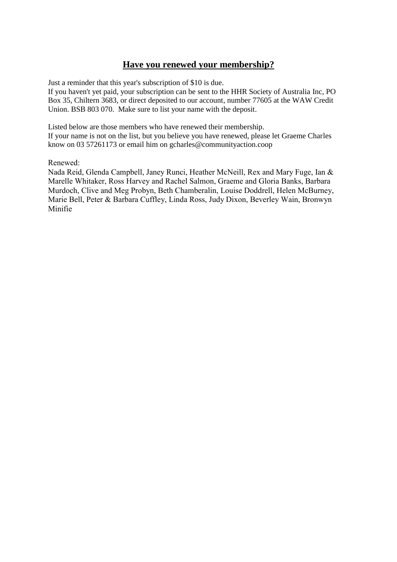## **Have you renewed your membership?**

Just a reminder that this year's subscription of \$10 is due.

If you haven't yet paid, your subscription can be sent to the HHR Society of Australia Inc, PO Box 35, Chiltern 3683, or direct deposited to our account, number 77605 at the WAW Credit Union. BSB 803 070. Make sure to list your name with the deposit.

Listed below are those members who have renewed their membership. If your name is not on the list, but you believe you have renewed, please let Graeme Charles know on 03 57261173 or email him on gcharles@communityaction.coop

Renewed:

Nada Reid, Glenda Campbell, Janey Runci, Heather McNeill, Rex and Mary Fuge, Ian & Marelle Whitaker, Ross Harvey and Rachel Salmon, Graeme and Gloria Banks, Barbara Murdoch, Clive and Meg Probyn, Beth Chamberalin, Louise Doddrell, Helen McBurney, Marie Bell, Peter & Barbara Cuffley, Linda Ross, Judy Dixon, Beverley Wain, Bronwyn Minifie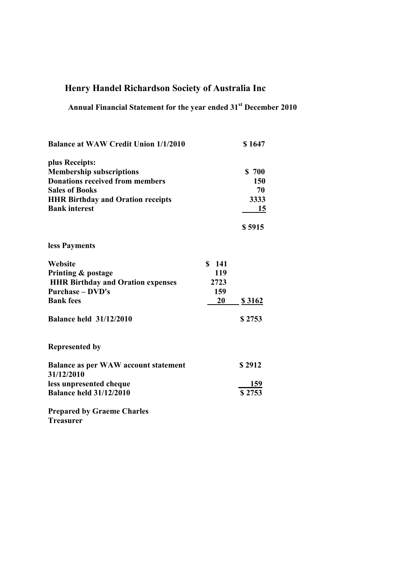# **Henry Handel Richardson Society of Australia Inc**

# **Annual Financial Statement for the year ended 31st December 2010**

| <b>Balance at WAW Credit Union 1/1/2010</b> |           | \$1647        |
|---------------------------------------------|-----------|---------------|
| plus Receipts:                              |           |               |
| <b>Membership subscriptions</b>             |           | \$700         |
| <b>Donations received from members</b>      |           | 150           |
| <b>Sales of Books</b>                       |           | 70            |
| <b>HHR Birthday and Oration receipts</b>    |           | 3333          |
| <b>Bank interest</b>                        |           | 15            |
|                                             |           | \$5915        |
| less Payments                               |           |               |
| Website                                     | \$141     |               |
| Printing & postage                          | 119       |               |
| <b>HHR Birthday and Oration expenses</b>    | 2723      |               |
| <b>Purchase - DVD's</b>                     | 159       |               |
| <b>Bank fees</b>                            | <b>20</b> | <u>\$3162</u> |
| <b>Balance held 31/12/2010</b>              |           | \$2753        |
| <b>Represented by</b>                       |           |               |
| <b>Balance as per WAW account statement</b> |           | \$2912        |
| 31/12/2010                                  |           |               |
| less unpresented cheque                     |           | 159           |
| <b>Balance held 31/12/2010</b>              |           | \$2753        |
| <b>Prepared by Graeme Charles</b>           |           |               |
| m                                           |           |               |

**Treasurer**